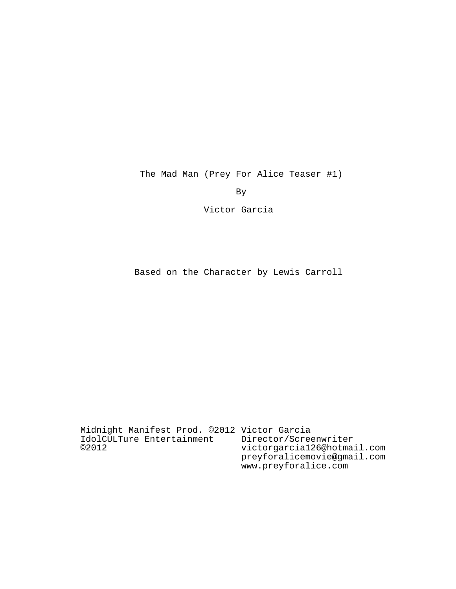The Mad Man (Prey For Alice Teaser #1)

By

Victor Garcia

Based on the Character by Lewis Carroll

Midnight Manifest Prod. ©2012 Victor Garcia IdolCULTure Entertainment ©2012 Director/Screenwriter victorgarcia126@hotmail.com preyforalicemovie@gmail.com www.preyforalice.com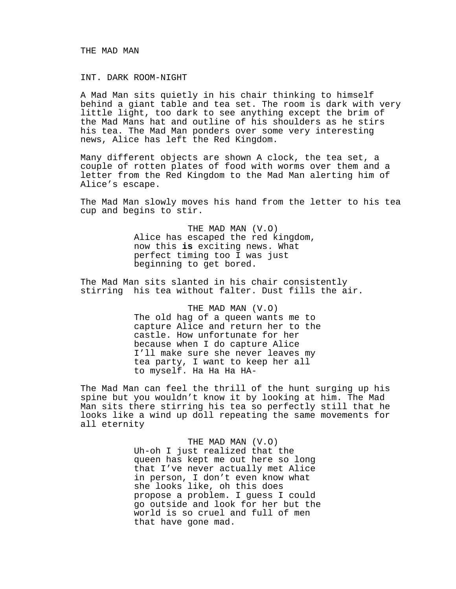## THE MAD MAN

## INT. DARK ROOM-NIGHT

A Mad Man sits quietly in his chair thinking to himself behind a giant table and tea set. The room is dark with very little light, too dark to see anything except the brim of the Mad Mans hat and outline of his shoulders as he stirs his tea. The Mad Man ponders over some very interesting news, Alice has left the Red Kingdom.

Many different objects are shown A clock, the tea set, a couple of rotten plates of food with worms over them and a letter from the Red Kingdom to the Mad Man alerting him of Alice's escape.

The Mad Man slowly moves his hand from the letter to his tea cup and begins to stir.

> THE MAD MAN (V.O) Alice has escaped the red kingdom, now this **is** exciting news. What perfect timing too I was just beginning to get bored.

The Mad Man sits slanted in his chair consistently stirring his tea without falter. Dust fills the air.

> THE MAD MAN (V.O) The old hag of a queen wants me to capture Alice and return her to the castle. How unfortunate for her because when I do capture Alice I'll make sure she never leaves my tea party, I want to keep her all to myself. Ha Ha Ha HA-

The Mad Man can feel the thrill of the hunt surging up his spine but you wouldn't know it by looking at him. The Mad Man sits there stirring his tea so perfectly still that he looks like a wind up doll repeating the same movements for all eternity

> THE MAD MAN (V.O) Uh-oh I just realized that the queen has kept me out here so long that I've never actually met Alice in person, I don't even know what she looks like, oh this does propose a problem. I guess I could go outside and look for her but the world is so cruel and full of men that have gone mad.